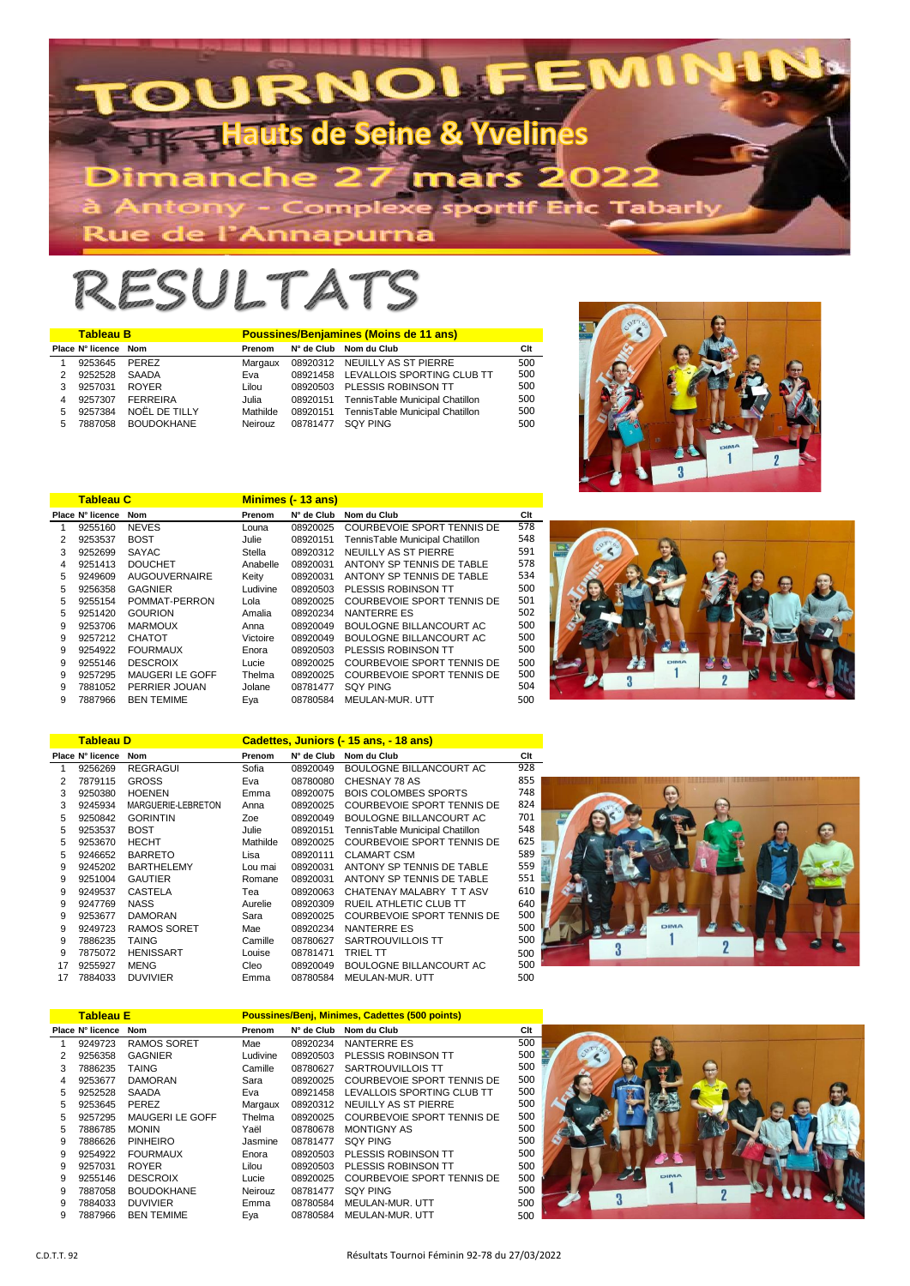

## RESULTATS

|   | <b>Tableau B</b>     |                   | <b>Poussines/Benjamines (Moins de 11 ans)</b> |          |                                          |     |  |  |  |
|---|----------------------|-------------------|-----------------------------------------------|----------|------------------------------------------|-----|--|--|--|
|   | Place N° licence Nom |                   | Prenom                                        |          | N° de Club Nom du Club                   | Clt |  |  |  |
|   | 9253645              | PEREZ             | Margaux                                       |          | 08920312 NEUILLY AS ST PIERRE            | 500 |  |  |  |
| 2 | 9252528              | SAADA             | Eva                                           |          | 08921458 LEVALLOIS SPORTING CLUB TT      | 500 |  |  |  |
| 3 | 9257031              | <b>ROYER</b>      | Lilou                                         |          | 08920503 PLESSIS ROBINSON TT             | 500 |  |  |  |
| 4 | 9257307              | <b>FERREIRA</b>   | Julia                                         |          | 08920151 TennisTable Municipal Chatillon | 500 |  |  |  |
| 5 | 9257384              | NOËL DE TILLY     | Mathilde                                      |          | 08920151 TennisTable Municipal Chatillon | 500 |  |  |  |
| 5 | 7887058              | <b>BOUDOKHANE</b> | Neirouz                                       | 08781477 | SOY PING                                 | 500 |  |  |  |



|   | <b>Tableau C</b> |                        |          | <b>Minimes (- 13 ans)</b> |                                 |     |
|---|------------------|------------------------|----------|---------------------------|---------------------------------|-----|
|   | Place N° licence | <b>Nom</b>             | Prenom   | N° de Club                | Nom du Club                     | Clt |
| 1 | 9255160          | <b>NEVES</b>           | Louna    | 08920025                  | COURBEVOIE SPORT TENNIS DE      | 578 |
| 2 | 9253537          | <b>BOST</b>            | Julie    | 08920151                  | TennisTable Municipal Chatillon | 548 |
| 3 | 9252699          | <b>SAYAC</b>           | Stella   | 08920312                  | NEUILLY AS ST PIERRE            | 591 |
| 4 | 9251413          | <b>DOUCHET</b>         | Anabelle | 08920031                  | ANTONY SP TENNIS DE TABLE       | 578 |
| 5 | 9249609          | <b>AUGOUVERNAIRE</b>   | Keitv    | 08920031                  | ANTONY SP TENNIS DE TABLE       | 534 |
| 5 | 9256358          | <b>GAGNIER</b>         | Ludivine | 08920503                  | PLESSIS ROBINSON TT             | 500 |
| 5 | 9255154          | POMMAT-PERRON          | Lola     | 08920025                  | COURBEVOIE SPORT TENNIS DE      | 501 |
| 5 | 9251420          | <b>GOURION</b>         | Amalia   | 08920234                  | NANTERRE ES                     | 502 |
| 9 | 9253706          | <b>MARMOUX</b>         | Anna     | 08920049                  | BOULOGNE BILLANCOURT AC         | 500 |
| 9 | 9257212          | <b>CHATOT</b>          | Victoire | 08920049                  | BOULOGNE BILLANCOURT AC         | 500 |
| 9 | 9254922          | <b>FOURMAUX</b>        | Enora    | 08920503                  | PLESSIS ROBINSON TT             | 500 |
| 9 | 9255146          | <b>DESCROIX</b>        | Lucie    | 08920025                  | COURBEVOIE SPORT TENNIS DE      | 500 |
| 9 | 9257295          | <b>MAUGERI LE GOFF</b> | Thelma   | 08920025                  | COURBEVOIE SPORT TENNIS DE      | 500 |
| 9 | 7881052          | PERRIER JOUAN          | Jolane   | 08781477                  | SOY PING                        | 504 |
| 9 | 7887966          | <b>BEN TEMIME</b>      | Eya      | 08780584                  | MEULAN-MUR. UTT                 | 500 |
|   |                  |                        |          |                           |                                 |     |



|    | <b>Tableau D</b> |                    |          | Cadettes, Juniors (- 15 ans, - 18 ans) |                                 |     |  |  |  |  |
|----|------------------|--------------------|----------|----------------------------------------|---------------------------------|-----|--|--|--|--|
|    | Place N° licence | <b>Nom</b>         | Prenom   | N° de Club                             | Nom du Club                     | Clt |  |  |  |  |
| 1  | 9256269          | <b>REGRAGUI</b>    | Sofia    | 08920049                               | BOULOGNE BILLANCOURT AC         | 928 |  |  |  |  |
| 2  | 7879115          | <b>GROSS</b>       | Eva      | 08780080                               | CHESNAY 78 AS                   | 855 |  |  |  |  |
| 3  | 9250380          | <b>HOENEN</b>      | Emma     | 08920075                               | <b>BOIS COLOMBES SPORTS</b>     | 748 |  |  |  |  |
| 3  | 9245934          | MARGUERIE-LEBRETON | Anna     | 08920025                               | COURBEVOIE SPORT TENNIS DE      | 824 |  |  |  |  |
| 5  | 9250842          | <b>GORINTIN</b>    | Zoe      | 08920049                               | <b>BOULOGNE BILLANCOURT AC</b>  | 701 |  |  |  |  |
| 5  | 9253537          | <b>BOST</b>        | Julie    | 08920151                               | TennisTable Municipal Chatillon | 548 |  |  |  |  |
| 5  | 9253670          | <b>HECHT</b>       | Mathilde | 08920025                               | COURBEVOIE SPORT TENNIS DE      | 625 |  |  |  |  |
| 5  | 9246652          | <b>BARRETO</b>     | Lisa     | 08920111                               | <b>CLAMART CSM</b>              | 589 |  |  |  |  |
| 9  | 9245202          | <b>BARTHELEMY</b>  | Lou mai  | 08920031                               | ANTONY SP TENNIS DE TABLE       | 559 |  |  |  |  |
| 9  | 9251004          | <b>GAUTIER</b>     | Romane   | 08920031                               | ANTONY SP TENNIS DE TABLE       | 551 |  |  |  |  |
| 9  | 9249537          | <b>CASTELA</b>     | Теа      | 08920063                               | CHATENAY MALABRY TT ASV         | 610 |  |  |  |  |
| 9  | 9247769          | NASS               | Aurelie  | 08920309                               | <b>RUEIL ATHLETIC CLUB TT</b>   | 640 |  |  |  |  |
| 9  | 9253677          | <b>DAMORAN</b>     | Sara     | 08920025                               | COURBEVOIE SPORT TENNIS DE      | 500 |  |  |  |  |
| 9  | 9249723          | <b>RAMOS SORET</b> | Mae      | 08920234                               | <b>NANTERRE ES</b>              | 500 |  |  |  |  |
| 9  | 7886235          | <b>TAING</b>       | Camille  | 08780627                               | SARTROUVILLOIS TT               | 500 |  |  |  |  |
| 9  | 7875072          | <b>HENISSART</b>   | Louise   | 08781471                               | <b>TRIEL TT</b>                 | 500 |  |  |  |  |
| 17 | 9255927          | <b>MENG</b>        | Cleo     | 08920049                               | BOULOGNE BILLANCOURT AC         | 500 |  |  |  |  |
| 17 | 7884033          | <b>DUVIVIER</b>    | Emma     | 08780584                               | MEULAN-MUR. UTT                 | 500 |  |  |  |  |



|   | <b>Tableau E</b> |                        |          | Poussines/Benj, Minimes, Cadettes (500 points) |                            |     |  |  |  |  |
|---|------------------|------------------------|----------|------------------------------------------------|----------------------------|-----|--|--|--|--|
|   | Place N° licence | Nom                    | Prenom   | N° de Club                                     | Nom du Club                | Clt |  |  |  |  |
| 1 | 9249723          | <b>RAMOS SORET</b>     | Mae      | 08920234                                       | NANTERRE ES                | 500 |  |  |  |  |
| 2 | 9256358          | <b>GAGNIER</b>         | Ludivine | 08920503                                       | PLESSIS ROBINSON TT        | 500 |  |  |  |  |
| 3 | 7886235          | <b>TAING</b>           | Camille  | 08780627                                       | SARTROUVILLOIS TT          | 500 |  |  |  |  |
| 4 | 9253677          | <b>DAMORAN</b>         | Sara     | 08920025                                       | COURBEVOIE SPORT TENNIS DE | 500 |  |  |  |  |
| 5 | 9252528          | <b>SAADA</b>           | Eva      | 08921458                                       | LEVALLOIS SPORTING CLUB TT | 500 |  |  |  |  |
| 5 | 9253645          | PEREZ                  | Margaux  | 08920312                                       | NEUILLY AS ST PIERRE       | 500 |  |  |  |  |
| 5 | 9257295          | <b>MAUGERI LE GOFF</b> | Thelma   | 08920025                                       | COURBEVOIE SPORT TENNIS DE | 500 |  |  |  |  |
| 5 | 7886785          | <b>MONIN</b>           | Yaël     | 08780678                                       | MONTIGNY AS                | 500 |  |  |  |  |
| 9 | 7886626          | PINHEIRO               | Jasmine  | 08781477                                       | SOY PING                   | 500 |  |  |  |  |
| 9 | 9254922          | <b>FOURMAUX</b>        | Enora    | 08920503                                       | PLESSIS ROBINSON TT        | 500 |  |  |  |  |
| 9 | 9257031          | <b>ROYER</b>           | Lilou    | 08920503                                       | PLESSIS ROBINSON TT        | 500 |  |  |  |  |
| 9 | 9255146          | <b>DESCROIX</b>        | Lucie    | 08920025                                       | COURBEVOIE SPORT TENNIS DE | 500 |  |  |  |  |
| 9 | 7887058          | <b>BOUDOKHANE</b>      | Neirouz  | 08781477                                       | <b>SQY PING</b>            | 500 |  |  |  |  |
| 9 | 7884033          | <b>DUVIVIER</b>        | Emma     | 08780584                                       | MEULAN-MUR. UTT            | 500 |  |  |  |  |
| 9 | 7887966          | <b>BEN TEMIME</b>      | Eya      | 08780584                                       | MEULAN-MUR. UTT            | 500 |  |  |  |  |

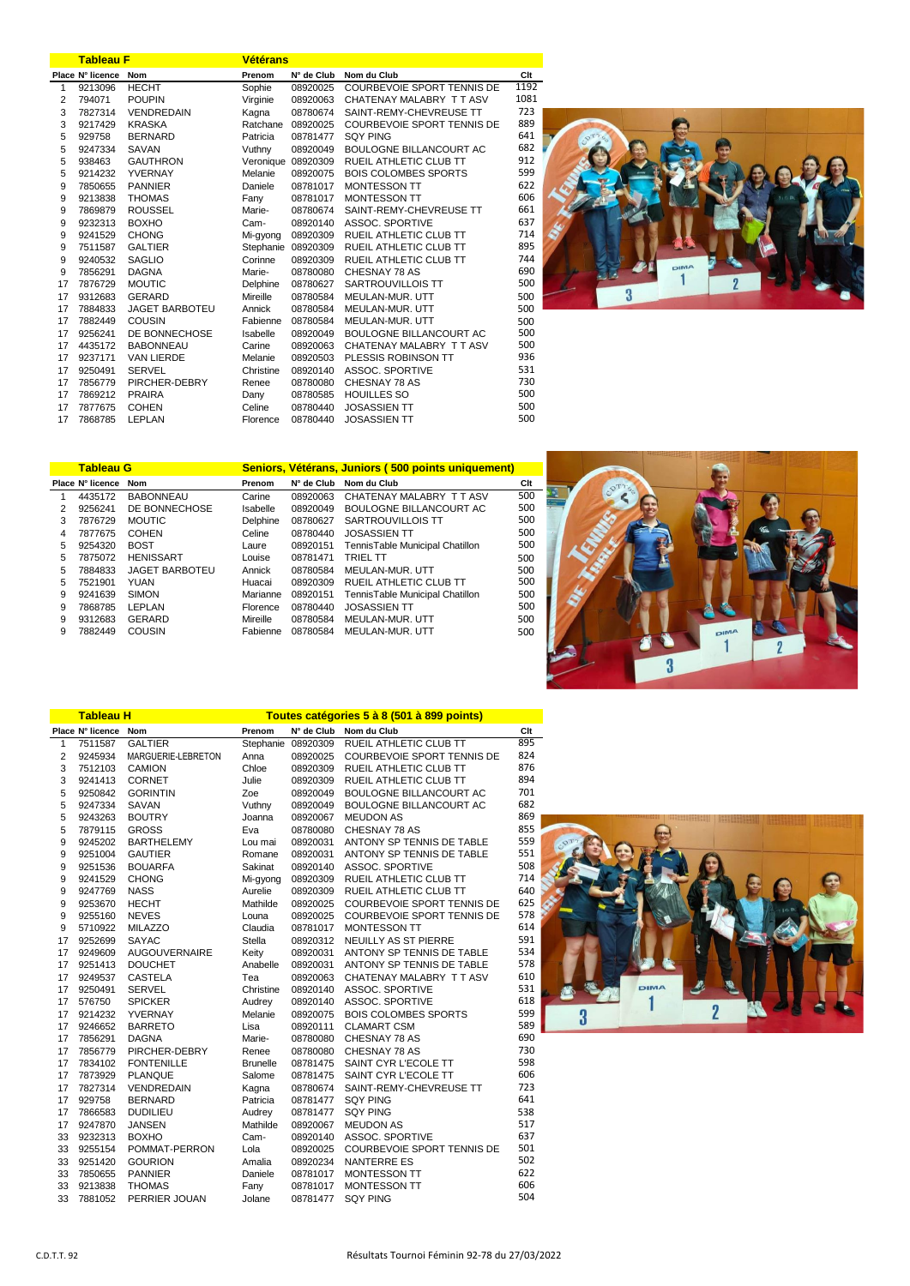|    | <b>Tableau F</b> |                       | <b>Vétérans</b>    |            |                             |      |  |  |  |
|----|------------------|-----------------------|--------------------|------------|-----------------------------|------|--|--|--|
|    | Place N° licence | <b>Nom</b>            | Prenom             | N° de Club | Nom du Club                 | Clt  |  |  |  |
| 1  | 9213096          | <b>HECHT</b>          | Sophie             | 08920025   | COURBEVOIE SPORT TENNIS DE  | 1192 |  |  |  |
| 2  | 794071           | <b>POUPIN</b>         | Virginie           | 08920063   | CHATENAY MALABRY TT ASV     | 1081 |  |  |  |
| 3  | 7827314          | <b>VENDREDAIN</b>     | Kagna              | 08780674   | SAINT-REMY-CHEVREUSE TT     | 723  |  |  |  |
| 3  | 9217429          | <b>KRASKA</b>         | Ratchane           | 08920025   | COURBEVOIE SPORT TENNIS DE  | 889  |  |  |  |
| 5  | 929758           | <b>BERNARD</b>        | Patricia           | 08781477   | <b>SQY PING</b>             | 641  |  |  |  |
| 5  | 9247334          | SAVAN                 | Vuthny             | 08920049   | BOULOGNE BILLANCOURT AC     | 682  |  |  |  |
| 5  | 938463           | <b>GAUTHRON</b>       | Veronique 08920309 |            | RUEIL ATHLETIC CLUB TT      | 912  |  |  |  |
| 5  | 9214232          | YVERNAY               | Melanie            | 08920075   | <b>BOIS COLOMBES SPORTS</b> | 599  |  |  |  |
| 9  | 7850655          | <b>PANNIER</b>        | Daniele            | 08781017   | <b>MONTESSON TT</b>         | 622  |  |  |  |
| 9  | 9213838          | <b>THOMAS</b>         | Fany               | 08781017   | <b>MONTESSON TT</b>         | 606  |  |  |  |
| 9  | 7869879          | <b>ROUSSEL</b>        | Marie-             | 08780674   | SAINT-REMY-CHEVREUSE TT     | 661  |  |  |  |
| 9  | 9232313          | <b>BOXHO</b>          | Cam-               | 08920140   | ASSOC. SPORTIVE             | 637  |  |  |  |
| 9  | 9241529          | <b>CHONG</b>          | Mi-gyong           | 08920309   | RUEIL ATHLETIC CLUB TT      | 714  |  |  |  |
| 9  | 7511587          | <b>GALTIER</b>        | Stephanie 08920309 |            | RUEIL ATHLETIC CLUB TT      | 895  |  |  |  |
| 9  | 9240532          | <b>SAGLIO</b>         | Corinne            | 08920309   | RUEIL ATHLETIC CLUB TT      | 744  |  |  |  |
| 9  | 7856291          | <b>DAGNA</b>          | Marie-             | 08780080   | CHESNAY 78 AS               | 690  |  |  |  |
| 17 | 7876729          | <b>MOUTIC</b>         | Delphine           | 08780627   | SARTROUVILLOIS TT           | 500  |  |  |  |
| 17 | 9312683          | <b>GERARD</b>         | Mireille           | 08780584   | MEULAN-MUR. UTT             | 500  |  |  |  |
| 17 | 7884833          | <b>JAGET BARBOTEU</b> | Annick             | 08780584   | MEULAN-MUR. UTT             | 500  |  |  |  |
| 17 | 7882449          | <b>COUSIN</b>         | Fabienne           | 08780584   | MEULAN-MUR. UTT             | 500  |  |  |  |
| 17 | 9256241          | DE BONNECHOSE         | Isabelle           | 08920049   | BOULOGNE BILLANCOURT AC     | 500  |  |  |  |
| 17 | 4435172          | <b>BABONNEAU</b>      | Carine             | 08920063   | CHATENAY MALABRY TT ASV     | 500  |  |  |  |
| 17 | 9237171          | <b>VAN LIERDE</b>     | Melanie            | 08920503   | PLESSIS ROBINSON TT         | 936  |  |  |  |
| 17 | 9250491          | <b>SERVEL</b>         | Christine          | 08920140   | ASSOC, SPORTIVE             | 531  |  |  |  |
| 17 | 7856779          | PIRCHER-DEBRY         | Renee              | 08780080   | CHESNAY 78 AS               | 730  |  |  |  |
| 17 | 7869212          | <b>PRAIRA</b>         | Dany               | 08780585   | <b>HOUILLES SO</b>          | 500  |  |  |  |
| 17 | 7877675          | <b>COHEN</b>          | Celine             | 08780440   | <b>JOSASSIEN TT</b>         | 500  |  |  |  |
| 17 | 7868785          | <b>LEPLAN</b>         | Florence           | 08780440   | <b>JOSASSIEN TT</b>         | 500  |  |  |  |



|   | <b>Tableau G</b> |                       | Seniors, Vétérans, Juniors (500 points uniquement) |            |                                 |     |  |  |
|---|------------------|-----------------------|----------------------------------------------------|------------|---------------------------------|-----|--|--|
|   | Place N° licence | <b>Nom</b>            | Prenom                                             | N° de Club | Nom du Club                     | Clt |  |  |
|   | 4435172          | <b>BABONNEAU</b>      | Carine                                             | 08920063   | CHATENAY MALABRY TT ASV         | 500 |  |  |
| 2 | 9256241          | DE BONNECHOSE         | Isabelle                                           | 08920049   | <b>BOULOGNE BILLANCOURT AC</b>  | 500 |  |  |
| 3 | 7876729          | <b>MOUTIC</b>         | Delphine                                           | 08780627   | SARTROUVILLOIS TT               | 500 |  |  |
| 4 | 7877675          | <b>COHEN</b>          | Celine                                             | 08780440   | <b>JOSASSIEN TT</b>             | 500 |  |  |
| 5 | 9254320          | <b>BOST</b>           | Laure                                              | 08920151   | TennisTable Municipal Chatillon | 500 |  |  |
| 5 | 7875072          | <b>HENISSART</b>      | Louise                                             | 08781471   | <b>TRIEL TT</b>                 | 500 |  |  |
| 5 | 7884833          | <b>JAGET BARBOTEU</b> | Annick                                             | 08780584   | MEULAN-MUR. UTT                 | 500 |  |  |
| 5 | 7521901          | <b>YUAN</b>           | Huacai                                             | 08920309   | RUEIL ATHLETIC CLUB TT          | 500 |  |  |
| 9 | 9241639          | <b>SIMON</b>          | Marianne                                           | 08920151   | TennisTable Municipal Chatillon | 500 |  |  |
| 9 | 7868785          | LEPLAN                | Florence                                           | 08780440   | <b>JOSASSIEN TT</b>             | 500 |  |  |
| 9 | 9312683          | GERARD                | Mireille                                           | 08780584   | MEULAN-MUR. UTT                 | 500 |  |  |
| 9 | 7882449          | COUSIN                | Fabienne                                           | 08780584   | MEULAN-MUR. UTT                 | 500 |  |  |
|   |                  |                       |                                                    |            |                                 |     |  |  |



|                  | <b>Tableau H</b> |                      | Toutes catégories 5 à 8 (501 à 899 points) |                    |                                   |     |  |  |  |
|------------------|------------------|----------------------|--------------------------------------------|--------------------|-----------------------------------|-----|--|--|--|
|                  | Place N° licence | Nom                  | Prenom                                     | N° de Club         | Nom du Club                       | Clt |  |  |  |
| $\mathbf{1}$     | 7511587          | <b>GALTIER</b>       |                                            | Stephanie 08920309 | RUEIL ATHLETIC CLUB TT            | 895 |  |  |  |
| $\overline{2}$   | 9245934          | MARGUERIE-LEBRETON   | Anna                                       | 08920025           | COURBEVOIE SPORT TENNIS DE        | 824 |  |  |  |
| 3                | 7512103          | <b>CAMION</b>        | Chloe                                      | 08920309           | RUEIL ATHLETIC CLUB TT            | 876 |  |  |  |
| 3                | 9241413          | <b>CORNET</b>        | Julie                                      | 08920309           | RUEIL ATHLETIC CLUB TT            | 894 |  |  |  |
| 5                | 9250842          | <b>GORINTIN</b>      | Zoe                                        | 08920049           | BOULOGNE BILLANCOURT AC           | 701 |  |  |  |
| 5                | 9247334          | SAVAN                | Vuthny                                     | 08920049           | BOULOGNE BILLANCOURT AC           | 682 |  |  |  |
| 5                | 9243263          | <b>BOUTRY</b>        | Joanna                                     | 08920067           | <b>MEUDON AS</b>                  | 869 |  |  |  |
| 5                | 7879115          | <b>GROSS</b>         | Eva                                        | 08780080           | CHESNAY 78 AS                     | 855 |  |  |  |
| 9                | 9245202          | <b>BARTHELEMY</b>    | Lou mai                                    | 08920031           | ANTONY SP TENNIS DE TABLE         | 559 |  |  |  |
| 9                | 9251004          | <b>GAUTIER</b>       | Romane                                     | 08920031           | ANTONY SP TENNIS DE TABLE         | 551 |  |  |  |
| 9                | 9251536          | <b>BOUARFA</b>       | Sakinat                                    | 08920140           | ASSOC. SPORTIVE                   | 508 |  |  |  |
| 9                | 9241529          | <b>CHONG</b>         | Mi-gyong                                   | 08920309           | RUEIL ATHLETIC CLUB TT            | 714 |  |  |  |
| 9                | 9247769          | <b>NASS</b>          | Aurelie                                    | 08920309           | RUEIL ATHLETIC CLUB TT            | 640 |  |  |  |
| $\boldsymbol{9}$ | 9253670          | <b>HECHT</b>         | Mathilde                                   | 08920025           | <b>COURBEVOIE SPORT TENNIS DE</b> | 625 |  |  |  |
| 9                | 9255160          | <b>NEVES</b>         | Louna                                      | 08920025           | <b>COURBEVOIE SPORT TENNIS DE</b> | 578 |  |  |  |
| 9                | 5710922          | <b>MILAZZO</b>       | Claudia                                    | 08781017           | <b>MONTESSON TT</b>               | 614 |  |  |  |
| 17               | 9252699          | <b>SAYAC</b>         | Stella                                     | 08920312           | NEUILLY AS ST PIERRE              | 591 |  |  |  |
| 17               | 9249609          | <b>AUGOUVERNAIRE</b> | Keity                                      | 08920031           | ANTONY SP TENNIS DE TABLE         | 534 |  |  |  |
| 17               | 9251413          | <b>DOUCHET</b>       | Anabelle                                   | 08920031           | ANTONY SP TENNIS DE TABLE         | 578 |  |  |  |
| 17               | 9249537          | <b>CASTELA</b>       | Tea                                        | 08920063           | CHATENAY MALABRY TT ASV           | 610 |  |  |  |
| 17               | 9250491          | <b>SERVEL</b>        | Christine                                  | 08920140           | ASSOC. SPORTIVE                   | 531 |  |  |  |
| 17               | 576750           | <b>SPICKER</b>       | Audrey                                     | 08920140           | ASSOC. SPORTIVE                   | 618 |  |  |  |
| 17               | 9214232          | YVERNAY              | Melanie                                    | 08920075           | <b>BOIS COLOMBES SPORTS</b>       | 599 |  |  |  |
| 17               | 9246652          | <b>BARRETO</b>       | Lisa                                       | 08920111           | <b>CLAMART CSM</b>                | 589 |  |  |  |
| 17               | 7856291          | <b>DAGNA</b>         | Marie-                                     | 08780080           | CHESNAY 78 AS                     | 690 |  |  |  |
| 17               | 7856779          | PIRCHER-DEBRY        | Renee                                      | 08780080           | CHESNAY 78 AS                     | 730 |  |  |  |
| 17               | 7834102          | <b>FONTENILLE</b>    | <b>Brunelle</b>                            | 08781475           | SAINT CYR L'ECOLE TT              | 598 |  |  |  |
| 17               | 7873929          | <b>PLANQUE</b>       | Salome                                     | 08781475           | SAINT CYR L'ECOLE TT              | 606 |  |  |  |
| 17               | 7827314          | VENDREDAIN           | Kagna                                      | 08780674           | SAINT-REMY-CHEVREUSE TT           | 723 |  |  |  |
| 17               | 929758           | <b>BERNARD</b>       | Patricia                                   | 08781477           | <b>SQY PING</b>                   | 641 |  |  |  |
| 17               | 7866583          | <b>DUDILIEU</b>      | Audrey                                     | 08781477           | <b>SQY PING</b>                   | 538 |  |  |  |
| 17               | 9247870          | <b>JANSEN</b>        | Mathilde                                   | 08920067           | <b>MEUDON AS</b>                  | 517 |  |  |  |
| 33               | 9232313          | <b>BOXHO</b>         | Cam-                                       | 08920140           | ASSOC. SPORTIVE                   | 637 |  |  |  |
| 33               | 9255154          | POMMAT-PERRON        | Lola                                       | 08920025           | <b>COURBEVOIE SPORT TENNIS DE</b> | 501 |  |  |  |
| 33               | 9251420          | <b>GOURION</b>       | Amalia                                     | 08920234           | <b>NANTERRE ES</b>                | 502 |  |  |  |
| 33               | 7850655          | <b>PANNIER</b>       | Daniele                                    | 08781017           | MONTESSON TT                      | 622 |  |  |  |
| 33               | 9213838          | <b>THOMAS</b>        | Fany                                       | 08781017           | <b>MONTESSON TT</b>               | 606 |  |  |  |
| 33               | 7881052          | PERRIER JOUAN        | Jolane                                     | 08781477           | <b>SQY PING</b>                   | 504 |  |  |  |
|                  |                  |                      |                                            |                    |                                   |     |  |  |  |

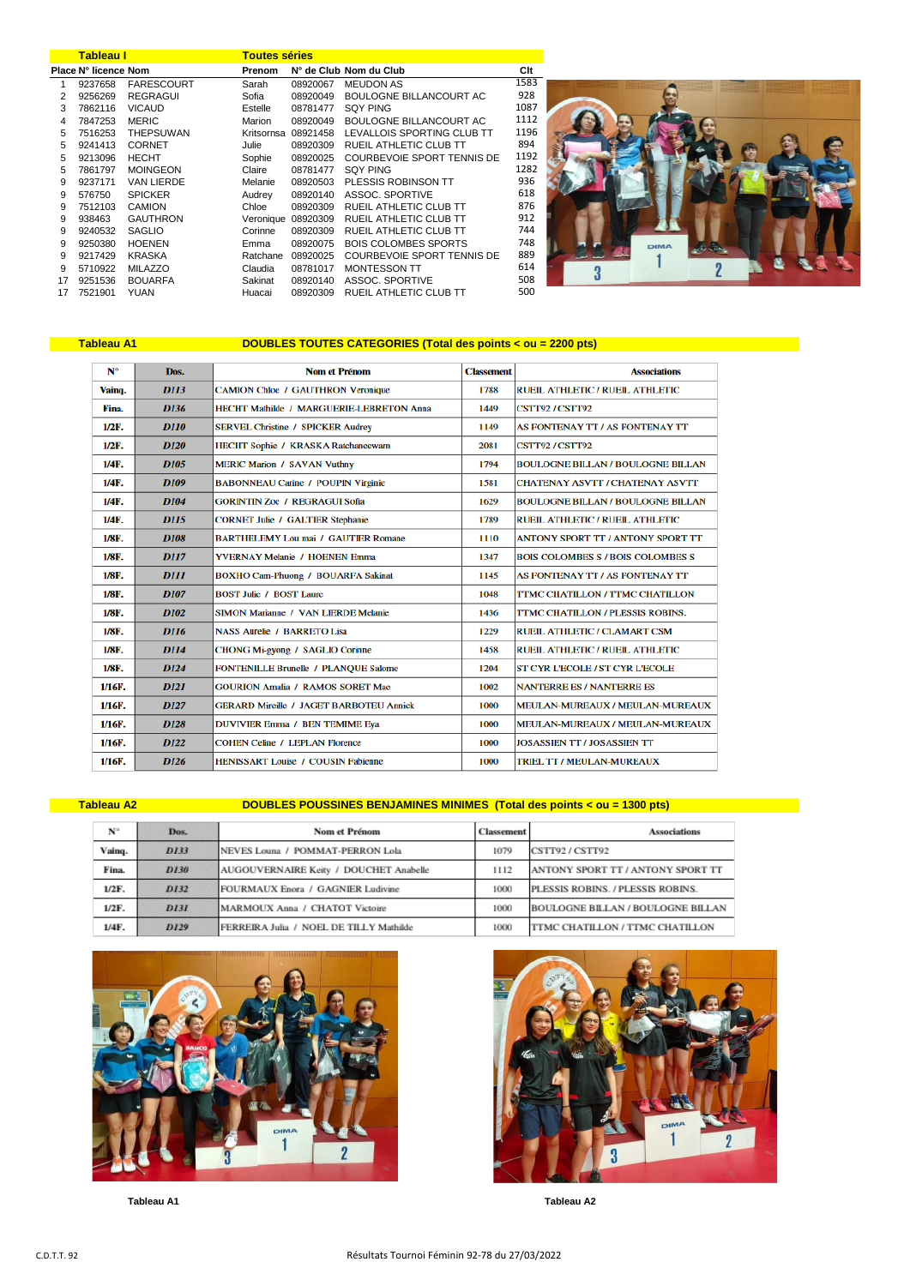|    | <b>Tableau I</b>     |                   | <b>Toutes séries</b> |                     |                               |  |
|----|----------------------|-------------------|----------------------|---------------------|-------------------------------|--|
|    | Place N° licence Nom |                   | Prenom               |                     | N° de Club Nom du Club        |  |
| 1  | 9237658              | <b>FARESCOURT</b> | Sarah                | 08920067            | <b>MEUDON AS</b>              |  |
| 2  | 9256269              | <b>REGRAGUI</b>   | Sofia                | 08920049            | BOULOGNE BILLANCOURT AC       |  |
| 3  | 7862116              | <b>VICAUD</b>     | Estelle              | 08781477            | <b>SQY PING</b>               |  |
| 4  | 7847253              | <b>MERIC</b>      | Marion               | 08920049            | BOULOGNE BILLANCOURT AC       |  |
| 5  | 7516253              | <b>THEPSUWAN</b>  |                      | Kritsornsa 08921458 | LEVALLOIS SPORTING CLUB TT    |  |
| 5  | 9241413              | <b>CORNET</b>     | Julie                | 08920309            | RUEIL ATHLETIC CLUB TT        |  |
| 5  | 9213096              | <b>HECHT</b>      | Sophie               | 08920025            | COURBEVOIE SPORT TENNIS DE    |  |
| 5  | 7861797              | <b>MOINGEON</b>   | Claire               | 08781477            | <b>SQY PING</b>               |  |
| 9  | 9237171              | <b>VAN LIERDE</b> | Melanie              | 08920503            | PLESSIS ROBINSON TT           |  |
| 9  | 576750               | <b>SPICKER</b>    | Audrey               | 08920140            | ASSOC, SPORTIVE               |  |
| 9  | 7512103              | <b>CAMION</b>     | Chloe                | 08920309            | RUEIL ATHLETIC CLUB TT        |  |
| 9  | 938463               | <b>GAUTHRON</b>   |                      | Veronique 08920309  | RUEIL ATHLETIC CLUB TT        |  |
| 9  | 9240532              | <b>SAGLIO</b>     | Corinne              | 08920309            | <b>RUEIL ATHLETIC CLUB TT</b> |  |
| 9  | 9250380              | <b>HOENEN</b>     | Emma                 | 08920075            | <b>BOIS COLOMBES SPORTS</b>   |  |
| 9  | 9217429              | <b>KRASKA</b>     | Ratchane             | 08920025            | COURBEVOIE SPORT TENNIS DE    |  |
| 9  | 5710922              | <b>MILAZZO</b>    | Claudia              | 08781017            | <b>MONTESSON TT</b>           |  |
| 17 | 9251536              | <b>BOUARFA</b>    | Sakinat              | 08920140            | ASSOC, SPORTIVE               |  |
| 17 | 7521901              | <b>YUAN</b>       | Huacai               | 08920309            | RUEIL ATHLETIC CLUB TT        |  |



## Tableau A1 **DOUBLES TOUTES CATEGORIES** (Total des points < ou = 2200 pts)

| N°        | Dos.             | <b>Nom et Prénom</b>                            | <b>Classement</b> | <b>Associations</b>                      |  |
|-----------|------------------|-------------------------------------------------|-------------------|------------------------------------------|--|
| Vainq.    | <b>D113</b>      | <b>CAMION Chloe / GAUTHRON Veronique</b>        | 1788              | <b>RUEIL ATHLETIC / RUEIL ATHLETIC</b>   |  |
| Fina.     | <b>D136</b>      | <b>HECHT Mathilde / MARGUERIE-LEBRETON Anna</b> | 1449              | CSTT92/CSTT92                            |  |
| $1/2F$ .  | <b>D110</b>      | <b>SERVEL Christine / SPICKER Audrey</b>        | 1149              | AS FONTENAY TT / AS FONTENAY TT          |  |
| $1/2F$ .  | <b>D120</b>      | HECHT Sophie / KRASKA Ratchaneewarn             | 2081              | <b>CSTT92/CSTT92</b>                     |  |
| $1/4F$ .  | <b>D105</b>      | <b>MERIC Marion / SAVAN Vuthny</b>              | 1794              | <b>BOULOGNE BILLAN / BOULOGNE BILLAN</b> |  |
| $1/4F$ .  | <b>D109</b>      | <b>BABONNEAU Carine / POUPIN Virginie</b>       | 1581              | <b>CHATENAY ASVTT / CHATENAY ASVTT</b>   |  |
| $1/4F$ .  | <b>D104</b>      | <b>GORINTIN Zoe / REGRAGUI Sofia</b>            | 1629              | <b>BOULOGNE BILLAN / BOULOGNE BILLAN</b> |  |
| $1/4F$ .  | <b>D115</b>      | <b>CORNET Julie / GALTIER Stephanie</b>         |                   | <b>RUEIL ATHLETIC / RUEIL ATHLETIC</b>   |  |
| 1/8F.     | <b>D108</b>      | <b>BARTHELEMY Lou mai / GAUTIER Romane</b>      |                   | <b>ANTONY SPORT TT / ANTONY SPORT TT</b> |  |
| 1/8F.     | <b>D117</b>      | <b>YVERNAY Melanie / HOENEN Emma</b>            |                   | <b>BOIS COLOMBES S / BOIS COLOMBES S</b> |  |
| 1/8F.     | <b>DIII</b>      | <b>BOXHO Cam-Phuong / BOUARFA Sakinat</b>       |                   | AS FONTENAY TT / AS FONTENAY TT          |  |
| 1/8F.     | <b>D107</b>      | <b>BOST Julie / BOST Laure</b>                  | 1048              | TTMC CHATILLON / TTMC CHATILLON          |  |
| 1/8F.     | <b>D102</b>      | <b>SIMON Marianne / VAN LIERDE Melanie</b>      | 1436              | <b>TTMC CHATILLON / PLESSIS ROBINS.</b>  |  |
| 1/8F.     | <b>D116</b>      | <b>NASS Aurelie / BARRETO Lisa</b>              | 1229              | RUEIL ATHLETIC / CLAMART CSM             |  |
| 1/8F.     | <b>D114</b>      | CHONG Mi-gyong / SAGLIO Corinne                 | 1458              | <b>RUEIL ATHLETIC / RUEIL ATHLETIC</b>   |  |
| 1/8F.     | <b>D124</b>      | <b>FONTENILLE Brunelle / PLANQUE Salome</b>     | 1204              | <b>ST CYR L'ECOLE / ST CYR L'ECOLE</b>   |  |
| $1/16F$ . | <b>D121</b>      | <b>GOURION Amalia / RAMOS SORET Mae</b>         | 1002              | <b>NANTERRE ES / NANTERRE ES</b>         |  |
| 1/16F.    | <b>D127</b>      | <b>GERARD Mireille / JAGET BARBOTEU Annick</b>  | 1000              | MEULAN-MUREAUX / MEULAN-MUREAUX          |  |
| 1/16F.    | <b>D128</b>      | <b>DUVIVIER Emma / BEN TEMIME Eya</b>           | 1000              | MEULAN-MUREAUX / MEULAN-MUREAUX          |  |
| 1/16F.    | D <sub>122</sub> | <b>COHEN Celine / LEPLAN Florence</b>           | 1000              | <b>JOSASSIEN TT / JOSASSIEN TT</b>       |  |
| 1/16F.    | <b>D126</b>      | <b>HENISSART Louise / COUSIN Fabienne</b>       | 1000              | TRIEL TT / MEULAN-MUREAUX                |  |

Tableau A2

## DOUBLES POUSSINES BENJAMINES MINIMES (Total des points < ou = 1300 pts)

| $N^{\circ}$ | Dos.        | Nom et Prénom                           | <b>Classement</b> | Associations                             |
|-------------|-------------|-----------------------------------------|-------------------|------------------------------------------|
| Vainq.      | D133        | NEVES Louna / POMMAT-PERRON Lola        | 1079              | CSTT92 / CSTT92                          |
| Fina.       | D130        | AUGOUVERNAIRE Keity / DOUCHET Anabelle  | 1112              | ANTONY SPORT TT / ANTONY SPORT TT        |
| $1/2F$ .    | D132        | FOURMAUX Enora / GAGNIER Ludivine       | 1000              | PLESSIS ROBINS. / PLESSIS ROBINS.        |
| $1/2F$ .    | <b>D131</b> | MARMOUX Anna / CHATOT Victoire          | 1000              | <b>BOULOGNE BILLAN / BOULOGNE BILLAN</b> |
| $1/4F$ .    | D129        | FERREIRA Julia / NOEL DE TILLY Mathilde | 1000              | TTMC CHATILLON / TTMC CHATILLON          |



Tableau A1



**Tableau A2**